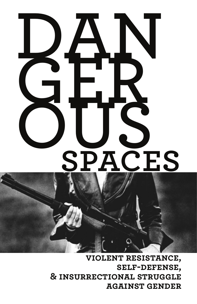# **DAN GER OUS spaces**

#### **violent resistance, self-defense, & insurrectional struggle against gender**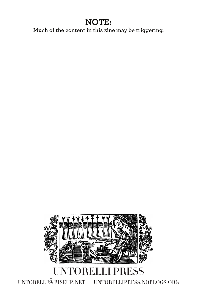## **NOTE:**

**Much of the content in this zine may be triggering.**



## UNTORELLI PRESS untorelli@riseup.net untorellipress.noblogs.org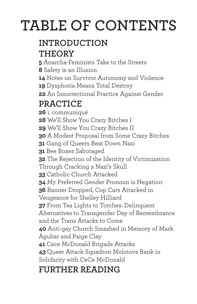# **TABLE OF CONTENTS**

## **INTRODUCTION THEORY**

Anarcha-Feminists Take to the Streets Safety is an Illusion Notes on Survivor Autonomy and Violence Dysphoria Means Total Destroy An Insurrectional Practice Against Gender **PRACTICE**

 i. communiqué We'll Show You Crazy Bitches I We'll Show You Crazy Bitches II A Modest Proposal from Some Crazy Bitches Gang of Queers Beat Down Nazi Bee Boxes Sabotaged The Rejection of the Identity of Victimization Through Cracking a Nazi's Skull Catholic Church Attacked My Preferred Gender Pronoun is Negation Banner Dropped, Cop Cars Attacked in Vengeance for Shelley Hilliard From Tea Lights to Torches: Delinquent Alternatives to Transgender Day of Remembrance and the Trans Attacks to Come Anti-gay Church Smashed in Memory of Mark Aguhar and Paige Clay Cece McDonald Brigade Attacks Queer Attack Squadron Molotovs Bank in Solidarity with CeCe McDonald

## **FURTHER READING**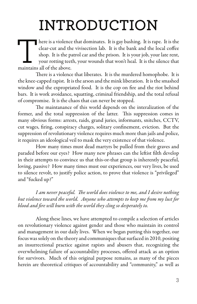# **INTRODUCTION**

There is a violence that dominates. It is gay bashing. It is rape. It is the clear-cut and the vivisection lab. It is the bank and the local coffee shop. It is the patrol car and the prison. It is your job, your late rent, clear-cut and the vivisection lab. It is the bank and the local coffee shop. It is the patrol car and the prison. It is your job, your late rent, your rotting teeth, your wounds that won't heal. It is the silence that maintains all of the above.

There is a violence that liberates. It is the murdered homophobe. It is the knee-capped rapist. It is the arson and the mink liberation. It is the smashed window and the expropriated food. It is the cop on fire and the riot behind bars. It is work avoidance, squatting, criminal friendship, and the total refusal of compromise. It is the chaos that can never be stopped.

The maintanance of this world depends on the interalization of the former, and the total suppression of the latter. This suppression comes in many obvious forms: arrests, raids, grand juries, informants, snitches, CCTV, cut wages, firing, conspiracy charges, solitary confinement, eviction. But the suppression of revolutionary violence requires much more than jails and police, it requires an ideological veil to mask the very existence of that violence.

How many times must dead martyrs be pulled from their graves and paraded before our eyes? How many new phrases can the leftist filth develop in their attempts to convince us that this-or-that group is inherently peaceful, loving, passive? How many times must our experiences, our very lives, be used to silence revolt, to justify police action, to prove that violence is "privileged" and "fucked up?"

*I am never peaceful. The world does violence to me, and I desire nothing but violence toward the world. Anyone who attempts to keep me from my lust for blood and fire will burn with the world they cling so desperately to.*

Along these lines, we have attempted to compile a selection of articles on revolutionary violence against gender and those who maintain its control and management in our daily lives. When we began putting this together, our focus was solely on the theory and communiques that surfaced in 2010, positing an insurrectional practice against rapists and abusers that, recognizing the overwhelming failure of accountability processes, offered attack as an option for survivors. Much of this original purpose remains, as many of the pieces herein are theoretical critiques of accountability and "community," as well as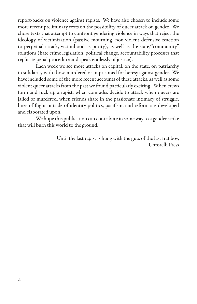report-backs on violence against rapists. We have also chosen to include some more recent preliminary texts on the possibility of queer attack on gender. We chose texts that attempt to confront gendering violence in ways that reject the ideology of victimization (passive mourning, non-violent defensive reaction to perpetual attack, victimhood as purity), as well as the state/"community" solutions (hate crime legislation, political change, accountability processes that replicate penal procedure and speak endlessly of justice).

Each week we see more attacks on capital, on the state, on patriarchy in solidarity with those murdered or imprisoned for heresy against gender. We have included some of the more recent accounts of these attacks, as well as some violent queer attacks from the past we found particularly exciting. When crews form and fuck up a rapist, when comrades decide to attack when queers are jailed or murdered, when friends share in the passionate intimacy of struggle, lines of flight outside of identity politics, pacifism, and reform are developed and elaborated upon.

We hope this publication can contribute in some way to a gender strike that will burn this world to the ground.

> Until the last rapist is hung with the guts of the last frat boy, Untorelli Press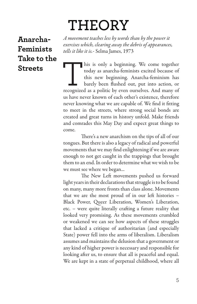## **THEORY**

**Anarcha-Feminists Take to the Streets**

*A movement teaches less by words than by the power it exercises which, clearing away the debris of appearances, tells it like it is.-* Selma James, 1973

This is only a beginning. We come together today as anarcha-feminists excited because of this new beginning. Anarcha-feminism has barely been flushed out, put into action, or recognized as a politic by even ourselves. And today as anarcha-feminists excited because of this new beginning. Anarcha-feminism has barely been flushed out, put into action, or us have never known of each other's existence, therefore never knowing what we are capable of. We find it fitting to meet in the streets, where strong social bonds are created and great turns in history unfold. Make friends and comrades this May Day and expect great things to come.

There's a new anarchism on the tips of all of our tongues. But there is also a legacy of radical and powerful movements that we may find enlightening if we are aware enough to not get caught in the trappings that brought them to an end. In order to determine what we wish to be we must see where we began...

The New Left movements pushed us forward light years in their declarations that struggle is to be found on many, many more fronts than class alone. Movements that we are the most proud of in our left histories – Black Power, Queer Liberation, Women's Liberation, etc. – were quite literally crafting a future reality that looked very promising. As these movements crumbled or weakened we can see how aspects of these struggles that lacked a critique of authoritarian (and especially State) power fell into the arms of liberalism. Liberalism assumes and maintains the delusion that a government or any kind of higher power is necessary and responsible for looking after us, to ensure that all is peaceful and equal. We are kept in a state of perpetual childhood, where all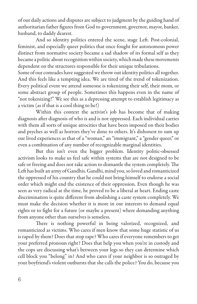of our daily actions and disputes are subject to judgment by the guiding hand of authoritarian father figures from God to government, governor, mayor, banker, husband, to daddy dearest.

And so identity politics entered the scene, stage Left. Post-colonial, feminist, and especially queer politics that once fought for autonomous power distinct from normative society became a sad shadow of its formal self as they became a politic about recognition within society, which made these movements dependent on the structures responsible for their unique tribulations.

Some of our comrades have suggested we throw out identity politics all together. And this feels like a tempting idea. We are tired of the trend of tokenization. Every political event we attend someone is tokenizing their self, their mom, or some abstract group of people. Sometimes this happens even in the name of "not tokenizing!" We see this as a depressing attempt to establish legitimacy as a victim (as if that is a cool thing to be!)

Within this context the activist's job has become that of making diagnosis after diagnosis of who is and is not oppressed. Each individual carries with them all sorts of unique atrocities that have been imposed on their bodies and psyches as well as horrors they've done to others. It's dishonest to sum up our lived experiences as that of a "woman," an "immigrant," a "gender queer," or even a combination of any number of recognizable marginal identities.

But this isn't even the bigger problem. Identity politic-obsessed activism looks to make us feel safe within systems that are not designed to be safe or freeing and does not take action to dismantle the system completely. The Left has built an army of Gandhis. Gandhi, mind you, so loved and romanticized the oppressed of his country that he could not bring himself to endorse a social order which might end the existence of their oppression. Even though he was seen as very radical at the time, he proved to be a liberal at heart. Ending caste discrimination is quite different from abolishing a caste system completely. We must make the decision whether it is more in our interests to demand equal rights or to fight for a future (or maybe a present) where demanding anything from anyone other than ourselves is senseless.

There is nothing powerful in being valorized, recognized, and romanticized as victims. Who cares if men know that some huge statistic of us is raped by them? Does that stop rape? Who cares if everyone remembers to get your preferred pronoun right? Does that help you when you're in custody and the cops are discussing what's between your legs so they can determine which cell block you "belong" in? And who cares if your neighbor is so outraged by your boyfriend's violent outbursts that she calls the police? You do, because you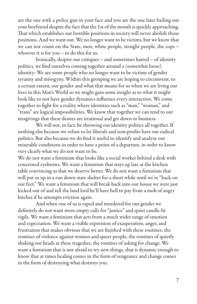are the one with a police gun in your face and you are the one later bailing out your boyfriend despite the fact that the 1st of the month is quickly approaching. That which establishes our horrible positions in society will never abolish those positions. And we want out. We no longer want to be victims, but we know that we can not count on the State, men, white people, straight people, the cops – whoever it is for you – to do this for us.

Ironically, despite our critiques – and sometimes hatred – of identity politics, we find ourselves coming together around a (somewhat loose) identity: We are some people who no longer want to be victims of gender tyranny and misogyny. Within this grouping we are hoping to circumvent, to a certain extent, our gender and what that means for us when we are living our lives in this Man's World so we might gain some insight as to what it might look like to not have gender dynamics influence every interaction. We come together to fight for a reality where identities such as "man," "woman," and "trans" are logical impossibilities. We know that together we can tend to our misgivings that these desires are irrational and get down to business.

We will not, in fact, be throwing out identity politics all together. If nothing else because we refuse to let liberals and non-profits have our radical politics. But also because we do find it useful to identify and analyze our miserable conditions in order to have a point of a departure, in order to know very clearly what we do not want to be.

We do not want a feminism that looks like a social worker behind a desk with concerned eyebrows. We want a feminism that stays up late at the kitchen table convincing us that we deserve better. We do not want a feminism that will put us up in a run down state shelter for a short while until we're "back on our feet." We want a feminism that will break back into our house we were just kicked out of and tell the land lord he'll have hell to pay from a mob of angry bitches if he attempts eviction again.

And when one of us is raped and murdered for our gender we definitely do not want more empty calls for "justice" and quiet candle-lit vigils. We want a feminism that acts from a much wider range of emotion and expectation. We want a visible expression of exasperation, anger, and frustration that makes obvious that we are finished with these routines: the routines of violence against women and queer people, the routines of quietly shaking our heads at these tragedies, the routines of asking for change. We want a feminism that is not afraid to try new things, that is dynamic enough to know that at times healing comes in the form of vengeance and change comes in the form of destroying what destroys you.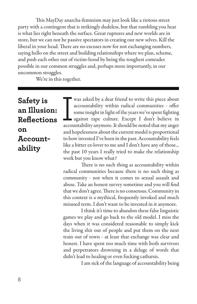This MayDay anarcha-feminism may just look like a riotous street party with a contingent that is strikingly dudeless, but that rumbling you hear is what lies right beneath the surface. Great ruptures and new worlds are in store, but we can not be passive spectators in creating our new selves. Kill the liberal in your head. There are no excuses now for not exchanging numbers, saying hello on the street and building relationships where we plan, scheme, and push each other out of victim-hood by being the toughest comrades possible in our common struggles and, perhaps more importantly, in our uncommon struggles.

We're in this together.

#### **Safety is an Illusion: Reflections on Accountability**

was asked by a dear friend to write this piece about<br>accountability within radical communities - offer<br>some insight in light of the years we've spent fighting<br>against rape culture. Except I don't believe in<br>accountability was asked by a dear friend to write this piece about accountability within radical communities - offer some insight in light of the years we've spent fighting against rape culture. Except I don't believe in and hopelessness about the current model is proportional to how invested I've been in the past. Accountability feels like a bitter ex-lover to me and I don't have any of those... the past 10 years I really tried to make the relationship work but you know what?

There is no such thing as accountability within radical communities because there is no such thing as community - not when it comes to sexual assault and abuse. Take an honest survey sometime and you will find that we don't agree. There is no consensus. Community in this context is a mythical, frequently invoked and much misused term. I don't want to be invested in it anymore.

I think it's time to abandon these false linguistic games we play and go back to the old model. I miss the days when it was considered reasonable to simply kick the living shit out of people and put them on the next train out of town - at least that exchange was clear and honest. I have spent too much time with both survivors and perpetrators drowning in a deluge of words that didn't lead to healing or even fucking catharsis.

I am sick of the language of accountability being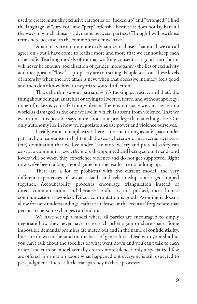used to create mutually exclusive categories of "fucked up" and "wronged." I find the language of "survivor" and "perp" offensive because it does not lay bare all the ways in which abuse is a dynamic between parties. (Though I will use those terms here because it's the common tender we have.)

Anarchists are not immune to dynamics of abuse - that much we can all agree on - but I have come to realize more and more that we cannot keep each other safe. Teaching models of mutual working consent is a good start, but it will never be enough: socialization of gender, monogamy - the lies of exclusivity and the appeal of "love" as propriety are too strong. People seek out these levels of intensity when the love affair is new, when that obsessive intimacy feels good and then don't know how to negotiate soured affection.

That's the thing about patriarchy: it's fucking pervasive; and that's the thing about being an anarchist or trying to live free, fierce, and without apology: none of it keeps you safe from violence. There is no space we can create in a world as damaged as the one we live in which is absent from violence. That we even think it is possible says more about our privilege than anything else. Our only autonomy lies in how we negotiate and use power and violence ourselves.

I really want to emphasize: there is no such thing as safe space under patriarchy or capitalism in light of all the sexist, hetero-normative, racist, classist (etc) domination that we live under. The more we try and pretend safety can exist at a community level, the more disappointed and betrayed our friends and lovers will be when they experience violence and do not get supported. Right now we've been talking a good game but the results are not adding up.

There are a lot of problems with the current model: the very different experiences of sexual assault and relationship abuse get lumped together. Accountability processes encourage triangulation instead of direct communication, and because conflict is not pushed, most honest communication is avoided. Direct confrontation is good! Avoiding it doesn't allow for new understandings, cathartic release, or the eventual forgiveness that person-to-person exchanges can lead to.

We have set up a model where all parties are encouraged to simply negotiate how they never have to see each other again or share space. Some impossible demands/promises are meted out and in the name of confidentiality, lines are drawn in the sand on the basis of generalities. Deal with your shit but you can't talk about the specifics of what went down and you can't talk to each other. The current model actually creates more silence: only a specialized few are offered information about what happened but everyone is still expected to pass judgment. There is little transparency in these processes.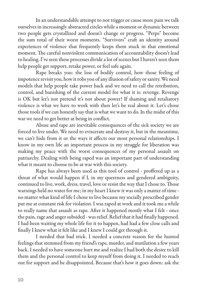In an understandable attempt to not trigger or cause more pain we talk ourselves in increasingly abstracted circles while a moment or dynamic between two people gets crystallized and doesn't change or progress. "Perps" become the sum total of their worst moments. "Survivors" craft an identity around experiences of violence that frequently keeps them stuck in that emotional moment. The careful nonviolent communication of accountability doesn't lead to healing. I've seen these processes divide a lot of scenes but I haven't seen them help people get support, retake power, or feel safe again.

Rape breaks you: the loss of bodily control, how those feeling of impotence revisit you, how it robs you of any illusion of safety or sanity. We need models that help people take power back and we need to call the retribution, control, and banishing of the current model for what it is: revenge. Revenge is OK but let's not pretend it's not about power! If shaming and retaliatory violence is what we have to work with then let's be real about it. Let's chose those tools if we can honestly say that is what we want to do. In the midst of this war we need to get better at being in conflict.

Abuse and rape are inevitable consequences of the sick society we are forced to live under. We need to eviscerate and destroy it, but in the meantime, we can't hide from it or the ways it affects our most personal relationships. I know in my own life an important process in my struggle for liberation was making my peace with the worst consequences of my personal assault on patriarchy. Dealing with being raped was an important part of understanding what it meant to choose to be at war with this society.

Rape has always been used as this tool of control - proffered up as a threat of what would happen if I, in my queerness and gendered ambiguity, continued to live, work, dress, travel, love or resist the way that I chose to. Those warnings held no water for me; in my heart I knew it was only a matter of time no matter what kind of life I chose to live because my socially prescribed gender put me at constant risk for violation. I was raped at work and it took me a while to really name that assault as rape. After it happened mostly what I felt - once the pain, rage and anger subsided - was relief. Relief that it had finally happened. I had been waiting my whole life for it to happen, had had a few close calls and finally I knew what it felt like and I knew I could get through it.

I needed that bad trick. I needed a concrete reason for the hunted feelings that stemmed from my friend's rape, murder, and mutilation a few years back. I needed to have someone hurt me and realize I had both the desire to kill them and the personal control to keep myself from doing it. I needed to reach out for support and be disappointed. Because that's how it goes down: ask the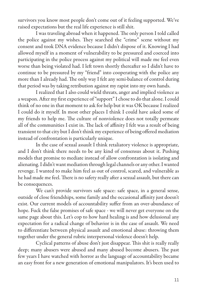survivors you know most people don't come out of it feeling supported. We've raised expectations but the real life experience is still shit.

I was traveling abroad when it happened. The only person I told called the police against my wishes. They searched the "crime" scene without my consent and took DNA evidence because I didn't dispose of it. Knowing I had allowed myself in a moment of vulnerability to be pressured and coerced into participating in the police process against my political will made me feel even worse than being violated had. I left town shortly thereafter so I didn't have to continue to be pressured by my "friend" into cooperating with the police any more than I already had. The only way I felt any semi-balance of control during that period was by taking retribution against my rapist into my own hands.

I realized that I also could wield threats, anger and implied violence as a weapon. After my first experience of "support" I chose to do that alone. I could think of no one in that moment to ask for help but it was OK because I realized I could do it myself. In most other places I think I could have asked some of my friends to help me. The culture of nonviolence does not totally permeate all of the communities I exist in. The lack of affinity I felt was a result of being transient to that city but I don't think my experience of being offered mediation instead of confrontation is particularly unique.

In the case of sexual assault I think retaliatory violence is appropriate, and I don't think there needs to be any kind of consensus about it. Pushing models that promise to mediate instead of allow confrontation is isolating and alienating. I didn't want mediation through legal channels or any other. I wanted revenge. I wanted to make him feel as out of control, scared, and vulnerable as he had made me feel. There is no safety really after a sexual assault, but there can be consequences.

We can't provide survivors safe space: safe space, in a general sense, outside of close friendships, some family and the occasional affinity just doesn't exist. Our current models of accountability suffer from an over-abundance of hope. Fuck the false promises of safe space - we will never get everyone on the same page about this. Let's cop to how hard healing is and how delusional any expectation for a radical change of behavior is in the case of assault. We need to differentiate between physical assault and emotional abuse: throwing them together under the general rubric interpersonal violence doesn't help.

Cyclical patterns of abuse don't just disappear. This shit is really really deep; many abusers were abused and many abused become abusers. The past few years I have watched with horror as the language of accountability became an easy front for a new generation of emotional manipulators. It's been used to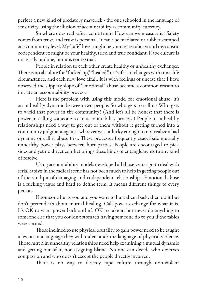perfect a new kind of predatory maverick - the one schooled in the language of sensitivity, using the illusion of accountability as community currency.

So where does real safety come from? How can we measure it? Safety comes from trust, and trust is personal. It can't be mediated or rubber stamped at a community level. My "safe" lover might be your secret abuser and my caustic codependent ex might be your healthy, tried and true confidant. Rape culture is not easily undone, but it is contextual.

People in relation to each other create healthy or unhealthy exchanges. There is no absolute for "fucked up," "healed," or "safe" - it changes with time, life circumstance, and each new love affair. It is with feelings of unease that I have observed the slippery slope of "emotional" abuse become a common reason to initiate an accountability process...

Here is the problem with using this model for emotional abuse: it's an unhealthy dynamic between two people. So who gets to call it? Who gets to wield that power in the community? (And let's all be honest that there is power in calling someone to an accountability process.) People in unhealthy relationships need a way to get out of them without it getting turned into a community judgment against whoever was unlucky enough to not realize a bad dynamic or call it abuse first. These processes frequently exacerbate mutually unhealthy power plays between hurt parties. People are encouraged to pick sides and yet no direct conflict brings these kinds of entanglements to any kind of resolve.

Using accountability models developed all those years ago to deal with serial rapists in the radical scene has not been much to help in getting people out of the sand pit of damaging and codependent relationships. Emotional abuse is a fucking vague and hard to define term. It means different things to every person.

If someone hurts you and you want to hurt them back, then do it but don't pretend it's about mutual healing. Call power exchange for what it is. It's OK to want power back and it's OK to take it, but never do anything to someone else that you couldn't stomach having someone do to you if the tables were turned.

Those inclined to use physical brutality to gain power need to be taught a lesson in a language they will understand: the language of physical violence. Those mired in unhealthy relationships need help examining a mutual dynamic and getting out of it, not assigning blame. No one can decide who deserves compassion and who doesn't except the people directly involved.

There is no way to destroy rape culture through non-violent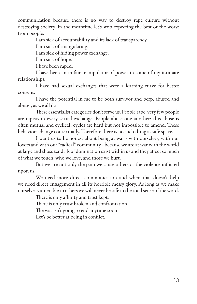communication because there is no way to destroy rape culture without destroying society. In the meantime let's stop expecting the best or the worst from people.

I am sick of accountability and its lack of transparency.

I am sick of triangulating.

I am sick of hiding power exchange.

I am sick of hope.

I have been raped.

I have been an unfair manipulator of power in some of my intimate relationships.

I have had sexual exchanges that were a learning curve for better consent.

I have the potential in me to be both survivor and perp, abused and abuser, as we all do.

These essentialist categories don't serve us. People rape, very few people are rapists in every sexual exchange. People abuse one another: this abuse is often mutual and cyclical; cycles are hard but not impossible to amend. These behaviors change contextually. Therefore there is no such thing as safe space.

I want us to be honest about being at war - with ourselves, with our lovers and with our "radical" community - because we are at war with the world at large and those tendrils of domination exist within us and they affect so much of what we touch, who we love, and those we hurt.

But we are not only the pain we cause others or the violence inflicted upon us.

We need more direct communication and when that doesn't help we need direct engagement in all its horrible messy glory. As long as we make ourselves vulnerable to others we will never be safe in the total sense of the word.

There is only affinity and trust kept.

There is only trust broken and confrontation.

The war isn't going to end anytime soon

Let's be better at being in conflict.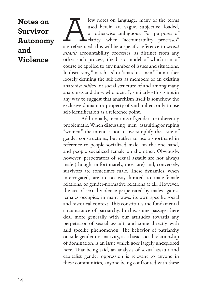#### **Notes on Survivor Autonomy and Violence**

few notes on language: many of the terms used herein are vague, subjective, loaded, or otherwise ambiguous. For purposes of clarity, when "accountability processes" are referenced, this will be a specific reference to *sex* used herein are vague, subjective, loaded, or otherwise ambiguous. For purposes of clarity, when "accountability processes" *assault* accountability processes, as distinct from any other such process, the basic model of which can of course be applied to any number of issues and situations. In discussing "anarchists" or "anarchist men," I am rather loosely defining the subjects as members of an existing anarchist *milieu*, or social structure of and among many anarchists and those who identify similarly - this is not in any way to suggest that anarchism itself is somehow the exclusive domain or property of said milieu, only to use self-identification as a reference point.

Additionally, mentions of gender are inherently problematic. When discussing "men" assaulting or raping "women," the intent is not to oversimplify the issue of gender constructions, but rather to use a shorthand in reference to people socialized male, on the one hand, and people socialized female on the other. Obviously, however, perpetrators of sexual assault are not always male (though, unfortunately, most are) and, conversely, survivors are sometimes male. These dynamics, when interrogated, are in no way limited to male-female relations, or gender-normative relations at all. However, the act of sexual violence perpetrated by males against females occupies, in many ways, its own specific social and historical context. This constitutes the fundamental circumstance of patriarchy. In this, some passages here deal more generally with our attitudes towards any perpetrator of sexual assault, and some directly with said specific phenomenon. The behavior of patriarchy outside gender normativity, as a basic social relationship of domination, is an issue which goes largely unexplored here. That being said, an analysis of sexual assault and capitalist gender oppression is relevant to anyone in these communities, anyone being confronted with these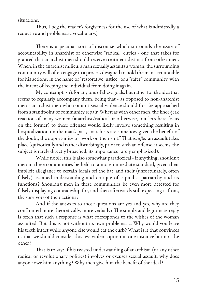situations.

Thus, I beg the reader's forgiveness for the use of what is admittedly a reductive and problematic vocabulary.)

There is a peculiar sort of discourse which surrounds the issue of accountability in anarchist or otherwise "radical" circles - one that takes for granted that anarchist men should receive treatment distinct from other men. When, in the anarchist milieu, a man sexually assaults a woman, the surrounding community will often engage in a process designed to hold the man accountable for his actions; in the name of "restorative justice" or a "safer" community, with the intent of keeping the individual from doing it again.

My contempt isn't for any one of these goals, but rather for the idea that seems to regularly accompany them, being that - as opposed to non-anarchist men - anarchist men who commit sexual violence should first be approached from a standpoint of community repair. Whereas with other men, the knee-jerk reaction of many women (anarchist/radical or otherwise, but let's here focus on the former) to these offenses would likely involve something resulting in hospitalization on the man's part, anarchists are somehow given the benefit of the doubt, the opportunity to "work on their shit." That is, *after* an assault takes place (quixotically and rather disturbingly, prior to such an offense, it seems, the subject is rarely directly broached, its importance rarely emphasized).

While noble, this is also somewhat paradoxical - if anything, shouldn't men in these communities be held to a more immediate standard, given their implicit allegiance to certain ideals off the bat, and their (unfortunately, often falsely) assumed understanding and critique of capitalist patriarchy and its functions? Shouldn't men in these communities be even more detested for falsely displaying comradeship for, and then afterwards still expecting it from, the survivors of their actions?

And if the answers to those questions are yes and yes, why are they confronted more theoretically, more verbally? The simple and legitimate reply is often that such a response is what corresponds to the wishes of the woman assaulted. But this is not without its own problematic. Why would you leave his teeth intact while anyone else would eat the curb? What is it that convinces us that we should consider this less violent option in one instance but not the other?

That is to say: if his twisted understanding of anarchism (or any other radical or revolutionary politics) involves or excuses sexual assault, why does anyone owe him anything? Why then give him the benefit of the ideal?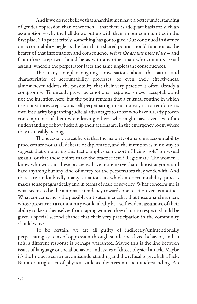And if we do not believe that anarchist men have a better understanding of gender oppression than other men – that there is adequate basis for such an assumption – why the hell do we put up with them in our communities in the first place? To put it tritely, something has got to give. Our continued insistence on accountability neglects the fact that a shared politic should function as the bearer of that information and consequence *before the assault takes place* – and from there, step two should be as with any other man who commits sexual assault, wherein the perpetrator faces the same unpleasant consequences.

The many complex ongoing conversations about the nature and characteristics of accountability processes, or even their effectiveness, almost never address the possibility that their very practice is often already a compromise. To directly prescribe emotional response is never acceptable and not the intention here, but the point remains that a cultural routine in which this constitutes step two is self-perpetuating in such a way as to reinforce its own insularity by granting judicial advantages to those who have already proven contemptuous of them while leaving others, who might have even less of an understanding of how fucked up their actions are, in the emergency room where they ostensibly belong.

The necessary caveat here is that the majority of anarchist accountability processes are not at all delicate or diplomatic, and the intention is in no way to suggest that employing this tactic implies some sort of being "soft" on sexual assault, or that these points make the practice itself illegitimate. The women I know who work in these processes have more nerve than almost anyone, and have anything but any kind of mercy for the perpetrators they work with. And there are undoubtedly many situations in which an accountability process makes sense pragmatically and in terms of scale or severity. What concerns me is what seems to be the automatic tendency towards one reaction versus another. What concerns me is the possibly cultivated mentality that these anarchist men, whose presence in a community would ideally be a self-evident assurance of their ability to keep themselves from raping women they claim to respect, should be given a special second chance that their very participation in the community should waive.

To be certain, we are all guilty of indirectly/unintentionally perpetuating systems of oppression through subtle socialized behavior, and to this, a different response is perhaps warranted. Maybe this is the line between issues of language or social behavior and issues of direct physical attack. Maybe it's the line between a naïve misunderstanding and the refusal to give half a fuck. But an outright act of physical violence deserves no such understanding. An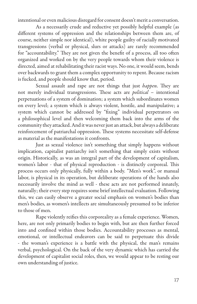intentional or even malicious disregard for consent doesn't merit a conversation.

As a necessarily crude and reductive yet possibly helpful example (as different systems of oppression and the relationships between them are, of course, neither simple nor identical), white people guilty of racially motivated transgressions (verbal or physical, slurs or attacks) are rarely recommended for "accountability." They are not given the benefit of a process, all too often organized and worked on by the very people towards whom their violence is directed, aimed at rehabilitating their racist ways. No one, it would seem, bends over backwards to grant them a complex opportunity to repent. Because racism is fucked, and people should know that, period.

Sexual assault and rape are not things that just *happen*. They are not merely individual transgressions. These acts are *political* – intentional perpetuations of a system of domination; a system which subordinates women on every level; a system which is always violent, hostile, and manipulative; a system which cannot be addressed by "fixing" individual perpetrators on a philosophical level and then welcoming them back into the arms of the community they attacked. And it was never just an attack, but always a deliberate reinforcement of patriarchal oppression. These systems necessitate self-defense as material as the manifestations it confronts.

Just as sexual violence isn't something that simply happens without implication, capitalist patriarchy isn't something that simply exists without origin. Historically, as was an integral part of the development of capitalism, women's labor - that of physical reproduction - is distinctly corporeal. This process occurs only physically, fully within a body. "Men's work", or manual labor, is physical in its operation, but deliberate operations of the hands also necessarily involve the mind as well - these acts are not performed innately, naturally; their every step requires some brief intellectual evaluation. Following this, we can easily observe a greater social emphasis on women's bodies than men's bodies, as women's intellects are simultaneously presumed to be inferior to those of men.

Rape violently reifies this corporeality as a female experience. Women, here, are not only primarily bodies to begin with, but are then further forced into and confined within those bodies. Accountability processes as mental, emotional, or intellectual endeavors can be said to perpetuate this divide - the woman's experience is a battle with the physical, the man's remains verbal, psychological. On the back of the very dynamic which has carried the development of capitalist social roles, then, we would appear to be resting our own understanding of justice.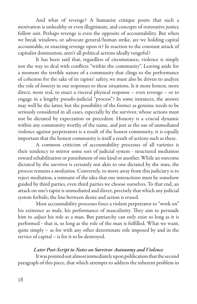And what of revenge? A humanist critique posits that such a motivation is unhealthy or even illegitimate, and concepts of restorative justice follow suit. Perhaps revenge is even the opposite of accountability. But when we break windows, or advocate general/human strike, are we holding capital accountable, or enacting revenge upon it? In reaction to the constant attack of capitalist domination, aren't all political actions ideally vengeful?

It has been said that, regardless of circumstance, violence is simply not the way to deal with conflicts "within the community". Leaving aside for a moment the terrible nature of a community that clings to the performance of cohesion for the sake of its rapists' safety, we must also be driven to analyze the role of *honesty* in our responses to these situations. Is it more honest, more direct, more real, to enact a visceral physical response – even revenge – or to engage in a lengthy pseudo-judicial "process"? In some instances, the answer may well be the latter, but the possibility of the former as genuine needs to be seriously considered in all cases, especially by the survivor, whose actions must not be dictated by expectation or precedent. Honesty is a crucial dynamic within any community worthy of the name, and just as the use of unmediated violence against perpetrators is a result of the honest community, it is equally important that the honest community is itself a result of actions such as these.

A common criticism of accountability processes of all varieties is their tendency to mirror some sort of judicial system - structured mediation toward rehabilitation or punishment of one kind or another. While an outcome dictated by the survivor is certainly not akin to one dictated by the state, the process remains a *mediation*. Conversely, to move away from this judiciary is to reject mediation, a remnant of the idea that our interactions must be somehow guided by third parties, even third parties we choose ourselves. To that end, an attack on one's rapist is unmediated and direct, precisely that which any judicial system forbids; the line between desire and action is erased.

Most accountability processes force a violent perpetrator to "work on" his existence as male, his performance of masculinity. They aim to persuade him to *adjust* his role as a man. But patriarchy can only exist so long as it is performed - that is, so long as the role of the man is fulfilled. What we want, quite simply – as for with any other determinate role imposed by and in the service of capital – is for it to be destroyed.

#### *Later Post-Script to Notes on Survivor Autonomy and Violence*

It was pointed out almost immediately upon publication that the second paragraph of this piece, that which attempts to address the inherent problem in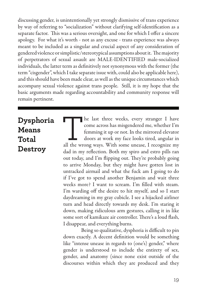discussing gender, is unintentionally yet strongly dismissive of trans experience by way of referring to "socialization" without clarifying self-identification as a separate factor. This was a serious oversight, and one for which I offer a sincere apology. For what it's worth - not as any excuse - trans experience was always meant to be included as a singular and crucial aspect of any consideration of gendered violence or simplistic/stereotypical assumptions about it. The majority of perpetrators of sexual assault are MALE-IDENTIFIED male-socialized individuals, the latter term as definitively not synonymous with the former (the term "cisgender", which I take separate issue with, could also be applicable here), and this should have been made clear, as well as the unique circumstances which accompany sexual violence against trans people. Still, it is my hope that the basic arguments made regarding accountability and community response will remain pertinent.

**Dysphoria Means Total Destroy**

The last three weeks, every stranger I have come across has misgendered me, whether I'm femming it up or not. In the mirrored elevator doors at work my face looks tired, angular in all the wrong ways. With some unease, I r come across has misgendered me, whether I'm femming it up or not. In the mirrored elevator doors at work my face looks tired, angular in dad in my reflection. Both my spiro and estro pills ran out today, and I'm flipping out. They're probably going to arrive Monday, but they might have gotten lost in untracked airmail and what the fuck am I going to do if I've got to spend another Benjamin and wait three weeks more? I want to scream. I'm filled with steam. I'm warding off the desire to hit myself, and so I start daydreaming in my gray cubicle. I see a hijacked airliner turn and head directly towards my desk. I'm staring it down, making ridiculous arm gestures, calling it in like some sort of kamikaze air controller. There's a loud flash, I disappear, and everything burns.

Being so qualitative, dysphoria is difficult to pin down exactly. A decent definition would be something like "intense unease in regards to (one's) gender," where gender is understood to include the entirety of sex, gender, and anatomy (since none exist outside of the discourses within which they are produced and they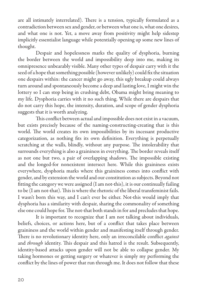are all intimately interrelated). There is a tension, typically formulated as a contradiction between sex and gender, or between what one is, what one desires, and what one is not. Yet, a move away from positivity might help sidestep implicitly essentialist language while potentially opening up some new lines of thought.

Despair and hopelessness marks the quality of dysphoria, burning the border between the world and impossibility deep into me, making its omnipresence unbearably visible. Many other types of despair carry with it the seed of a hope that something possible (however unlikely) could fix the situation one despairs within: the cancer might go away, this ugly breakup could always turn around and spontaneously become a deep and lasting love, I might win the lottery so I can stop being in crushing debt, Obama might bring meaning to my life. Dysphoria carries with it no such thing. While there are despairs that do not carry this hope, the intensity, duration, and scope of gender dysphoria suggests that it is worth analyzing.

This conflict between actual and impossible does not exist in a vacuum, but exists precisely because of the naming-constructing-creating that is this world. The world creates its own impossibilities by its incessant productive categorization, as nothing fits its own definition. Everything is perpetually scratching at the walls, blindly, without any purpose. The intolerability that surrounds everything is also a graininess in everything. The border reveals itself as not one but two, a pair of overlapping shadows. The impossible existing and the longed-for nonexistent intersect here. While this graininess exists everywhere, dysphoria marks where this graininess comes into conflict with gender, and by extension the world and our constitution as subjects. Beyond not fitting the category we were assigned (I am not-this), it is our continually failing to be (I am not-that). This is where the rhetoric of the liberal transfeminist fails. I wasn't born this way, and I can't ever be either. Not-this would imply that dysphoria has a similarity with despair, sharing the commonality of something else one could hope for. The not-that both stands in for and precludes that hope.

It is important to recognize that I am not talking about individuals, beliefs, choices, or actions here, but of a conflict that takes place between graininess and the world within gender and manifesting itself through gender. There is no revolutionary identity here, only an irreconcilable conflict *against*  and *through* identity. This despair and this hatred is the result. Subsequently, identity-based attacks upon gender will not be able to collapse gender. My taking hormones or getting surgery or whatever is simply my performing the conflict by the lines of power that run through me. It does not follow that these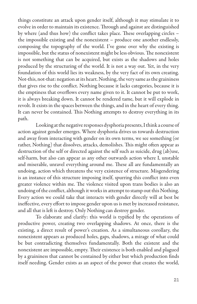things constitute an attack upon gender itself, although it may stimulate it to evolve in order to maintain its existence. Through and against are distinguished by where (and thus how) the conflict takes place. These overlapping circles – the impossible existing and the nonexistent – produce one another endlessly, composing the topography of the world. I've gone over why the existing is impossible, but the status of nonexistent might be less obvious. The nonexistent is not something that can be acquired, but exists as the shadows and holes produced by the structuring of the world. It is not a way out. Yet, in the very foundation of this world lies its weakness, by the very fact of its own creating. Not-this, not-that: negation at its heart. Nothing, the very same as the graininess that gives rise to the conflict. Nothing because it lacks categories, because it is the emptiness that overflows every name given to it. It cannot be put to work, it is always breaking down. It cannot be rendered tame, but it will explode in revolt. It exists in the spaces between the things, and in the heart of every thing. It can never be contained. This Nothing attempts to destroy everything in its path.

Looking at the negative responses dysphoria presents, I think a course of action against gender emerges. Where dysphoria drives us towards destruction and away from interacting with gender on its own terms, we see something (or rather, Nothing) that dissolves, attacks, demolishes. This might often appear as destruction of the self or directed against the self such as suicide, drug (ab)use, self-harm, but also can appear as any other outwards action where I, unstable and miserable, unravel everything around me. These all are fundamentally an undoing, action which threatens the very existence of structure. Misgendering is an instance of this structure imposing itself, spurring this conflict into even greater violence within me. The violence visited upon trans bodies is also an undoing of the conflict, although it works in attempt to stamp out this Nothing. Every action we could take that interacts with gender directly will at best be ineffective, every effort to impose gender upon us is met by increased resistance, and all that is left is destroy. Only Nothing can destroy gender.

To elaborate and clarify: this world is typified by the operations of productive power, creating two overlapping shadows. At once, there is the existing, a direct result of power's creation. As a simultaneous corollary, the nonexistent appears as produced holes, gaps, shadows, a mirage of what could be but contradicting themselves fundamentally. Both the existent and the nonexistent are impossible, empty. Their existence is both enabled and plagued by a graininess that cannot be contained by either but which production finds itself needing. Gender exists as an aspect of the power that creates the world,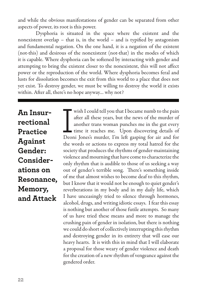and while the obvious manifestations of gender can be separated from other aspects of power, its root is this power.

Dysphoria is situated in the space where the existent and the nonexistent overlap – that is, in the world – and is typified by antagonism and fundamental negation. On the one hand, it is a negation of the existent (not-this) and desirous of the nonexistent (not-that) in the modes of which it is capable. Where dysphoria can be softened by interacting with gender and attempting to bring the existent closer to the nonexistent, this will not affect power or the reproduction of the world. Where dysphoria becomes feral and lusts for dissolution becomes the exit from this world to a place that does not yet exist. To destroy gender, we must be willing to destroy the world it exists within. After all, there's no hope anyway… why not?

**An Insurrectional Practice Against Gender: Considerations on Resonance, Memory, and Attack**

wish I could tell you that I became numb to the pain<br>after all these years, but the news of the murder of<br>another trans woman punches me in the gut every<br>time it reaches me. Upon discovering details of<br>Deoni Jones's murder wish I could tell you that I became numb to the pain after all these years, but the news of the murder of another trans woman punches me in the gut every time it reaches me. Upon discovering details of the words or actions to express my total hatred for the society that produces the rhythms of gender-maintaining violence and mourning that have come to characterize the only rhythm that is audible to those of us seeking a way out of gender's terrible song. There's something inside of me that almost wishes to become deaf to this rhythm, but I know that it would not be enough to quiet gender's reverberations in my body and in my daily life, which I have unceasingly tried to silence through hormones, alcohol, drugs, and writing idiotic essays. I fear this essay is nothing but another of those futile attempts. So many of us have tried these means and more to manage the crushing pain of gender in isolation, but there is nothing we could do short of collectively interrupting this rhythm and destroying gender in its entirety that will ease our heavy hearts. It is with this in mind that I will elaborate a proposal for those weary of gender violence and death for the creation of a new rhythm of vengeance against the gendered order.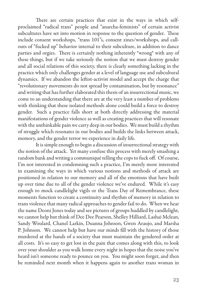There are certain practices that exist in the ways in which selfproclaimed "radical trans" people and "anarcha-feminists" of certain activist subcultures have set into motion in response to the question of gender. These include consent workshops, "trans 101"s, consent zines/workshops, and callouts of "fucked up" behavior internal to their subculture, in addition to dance parties and orgies. There is certainly nothing inherently \*wrong\* with any of these things, but if we take seriously the notion that we must destroy gender and all social relations of this society, there is clearly something lacking in the practice which only challenges gender at a level of language use and subcultural dynamics. If we abandon the leftist-activist model and accept the charge that "revolutionary movements do not spread by contamination, but by resonance" and writing that has further elaborated this thesis of an insurrectional music, we come to an understanding that there are at the very least a number of problems with thinking that these isolated methods alone could build a force to destroy gender. Such a practice falls short at both directly addressing the material manifestations of gender violence as well as creating practices that will resonate with the unthinkable pain we carry deep in our bodies. We must build a rhythm of struggle which resonates in our bodies and builds the links between attack, memory, and the gender terror we experience in daily life.

It is simple enough to begin a discussion of insurrectional strategy with the notion of the attack. Yet many confuse this process with merely smashing a random bank and writing a communiqué telling the cops to fuck off. Of course, I'm not interested in condemning such a practice, I'm merely more interested in examining the ways in which various notions and methods of attack are positioned in relation to our memory and all of the emotions that have built up over time due to all of the gender violence we've endured. While it's easy enough to mock candlelight vigils or the Trans Day of Remembrance, these moments function to create a continuity and rhythm of memory in relation to trans violence that many radical approaches to gender fail to do. When we hear the name Deoni Jones today and see pictures of groups huddled by candlelight, we cannot help but think of Dee Dee Pearson, Shelley Hilliard, Lashai Mclean, Sandy Woulard, Chanel Larkin, Duanna Johnson, Gwen Araujo, and Marsha P. Johnson. We cannot help but have our minds fill with the history of those murdered at the hands of a society that must maintain the gendered order at all costs. It's so easy to get lost in the pain that comes along with this, to look over your shoulder as you walk home every night in hopes that the noise you've heard isn't someone ready to pounce on you. You might soon forget, and then be reminded next month when it happens again to another trans woman in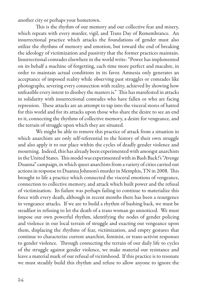another city or perhaps your hometown.

This is the rhythm of our memory and our collective fear and misery, which repeats with every murder, vigil, and Trans Day of Remembrance. An insurrectional practice which attacks the foundations of gender must also utilize the rhythms of memory and emotion, but toward the end of breaking the ideology of victimization and passivity that the former practices maintain. Insurrectional comrades elsewhere in the world write: "Power has implemented on its behalf a machine of forgetting, each time more perfect and macabre, in order to maintain actual conditions in its favor. Amnesia only generates an acceptance of imposed reality while observing past struggles or comrades like photographs, severing every connection with reality, achieved by showing how unfeasible every intent to disobey the masters is." This has manifested in attacks in solidarity with insurrectional comrades who have fallen or who are facing repression. These attacks are an attempt to tap into the visceral stores of hatred for this world and for its attacks upon those who share the desire to see an end to it, connecting the rhythms of collective memory, a desire for vengeance, and the terrain of struggle upon which they are situated.

We might be able to remove this practice of attack from a situation in which anarchists are only self-referential to the history of their own struggle and also apply it to our place within the cycles of deadly gender violence and mourning. Indeed, this has already been experimented with amongst anarchists in the United States. This model was experimented with in Bash Back!'s "Avenge Duanna" campaign, in which queer anarchists from a variety of cities carried out actions in response to Duanna Johnson's murder in Memphis, TN in 2008. This brought to life a practice which connected the visceral emotions of vengeance, connection to collective memory, and attack which built power and the refusal of victimization. Its failure was perhaps failing to continue to materialize this force with every death, although in recent months there has been a resurgence in vengeance attacks. If we are to build a rhythm of bashing back, we must be steadfast in refusing to let the death of a trans woman go unnoticed. We must impose our own powerful rhythm, identifying the nodes of gender policing and violence in our local terrain of struggle and exacting our vengeance upon them, displacing the rhythms of fear, victimization, and empty gestures that continue to characterize current anarchist, feminist, or trans-activist responses to gender violence. Through connecting the terrain of our daily life to cycles of the struggle against gender violence, we make material our resistance and leave a material mark of our refusal of victimhood. If this practice is to resonate we must steadily build this rhythm and refuse to allow anyone to ignore the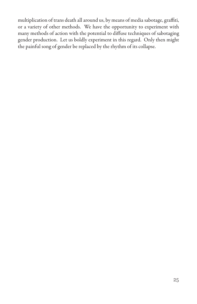multiplication of trans death all around us, by means of media sabotage, graffiti, or a variety of other methods. We have the opportunity to experiment with many methods of action with the potential to diffuse techniques of sabotaging gender production. Let us boldly experiment in this regard. Only then might the painful song of gender be replaced by the rhythm of its collapse.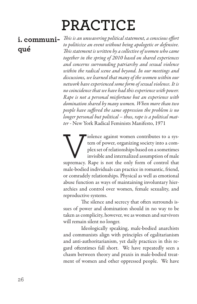## **PRACTICE**

#### **i. communiqué**

*This is an unwavering political statement, a conscious effort to politicize an event without being apologetic or defensive. This statement is written by a collective of women who came together in the spring of 2010 based on shared experiences and concerns surrounding patriarchy and sexual violence within the radical scene and beyond. In our meetings and discussions, we learned that many of the women within our network have experienced some form of sexual violence. It is no coincidence that we have had this experience with power. Rape is not a personal misfortune but an experience with domination shared by many women. When more than two people have suffered the same oppression the problem is no longer personal but political – thus, rape is a political matter* - New York Radical Feminists Manifesto, 1971

violence against women contributes to a system of power, organizing society into a complex set of relationships based on a sometimes<br>invisible and internalized assumption of male<br>supremacy. Rape is not the only form of con tem of power, organizing society into a complex set of relationships based on a sometimes invisible and internalized assumption of male supremacy. Rape is not the only form of control that male-bodied individuals can practice in romantic, friend, or comradely relationships. Physical as well as emotional abuse function as ways of maintaining involuntary hierarchies and control over women, female sexuality, and reproductive systems.

The silence and secrecy that often surrounds issues of power and domination should in no way to be taken as complicity, however, we as women and survivors will remain silent no longer.

Ideologically speaking, male-bodied anarchists and communists align with principles of egalitarianism and anti-authoritarianism, yet daily practices in this regard oftentimes fall short. We have repeatedly seen a chasm between theory and praxis in male-bodied treatment of women and other oppressed people. We have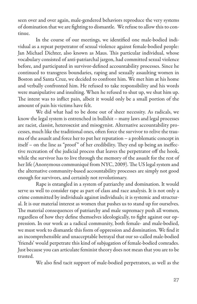seen over and over again, male-gendered behaviors reproduce the very systems of domination that we are fighting to dismantle. We refuse to allow this to continue.

In the course of our meetings, we identified one male-bodied individual as a repeat perpetrator of sexual violence against female-bodied people: Jan Michael Dichter, also known as Maus. This particular individual, whose vocabulary consisted of anti-patriarchal jargon, had committed sexual violence before, and participated in survivor-defined accountability processes. Since he continued to transgress boundaries, raping and sexually assaulting women in Boston and Santa Cruz, we decided to confront him. We met him at his home and verbally confronted him. He refused to take responsibility and his words were manipulative and insulting. When he refused to shut up, we shut him up. The intent was to inflict pain, albeit it would only be a small portion of the amount of pain his victims have felt.

We did what had to be done out of sheer necessity. As radicals, we know the legal system is entrenched in bullshit – many laws and legal processes are racist, classist, heterosexist and misogynist. Alternative accountability processes, much like the traditional ones, often force the survivor to relive the trauma of the assault and force her to put her reputation – a problematic concept in itself - on the line as "proof" of her credibility. They end up being an ineffective recreation of the judicial process that leaves the perpetrator off the hook, while the survivor has to live through the memory of the assault for the rest of her life (Anonymous communiqué from NYC, 2009). The US legal system and the alternative community-based accountability processes are simply not good enough for survivors, and certainly not revolutionary.

Rape is entangled in a system of patriarchy and domination. It would serve us well to consider rape as part of class and race analysis. It is not only a crime committed by individuals against individuals; it is systemic and structural. It is our material interest as women that pushes us to stand up for ourselves. The material consequences of patriarchy and male supremacy push all women, regardless of how they define themselves ideologically, to fight against our oppression. In our work as a radical community, both female- and male-bodied, we must work to dismantle this form of oppression and domination. We find it an incomprehensible and unacceptable betrayal that our so-called male-bodied 'friends' would perpetrate this kind of subjugation of female-bodied comrades. Just because you can articulate feminist theory does not mean that you are to be trusted.

We also find tacit support of male-bodied perpetrators, as well as the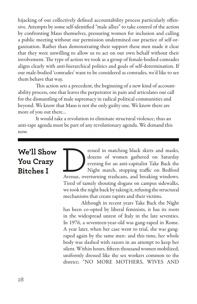hijacking of our collectively defined accountability process particularly offensive. Attempts by some self-identified "male allies" to take control of the action by confronting Maus themselves, pressuring women for inclusion and calling a public meeting without our permission undermined our practice of self-organization. Rather than demonstrating their support these men made it clear that they were unwilling to allow us to act on our own behalf without their involvement. The type of action we took as a group of female-bodied comrades aligns clearly with anti-hierarchical politics and goals of self-determination. If our male-bodied 'comrades' want to be considered as comrades, we'd like to see them behave that way.

This action sets a precedent, the beginning of a new kind of accountability process, one that leaves the perpetrator in pain and articulates our call for the dismantling of male supremacy in radical political communities and beyond. We know that Maus is not the only guilty one. We know there are more of you out there…

It would take a revolution to eliminate structural violence; thus an anti-rape agenda must be part of any revolutionary agenda. We demand this now.

#### **We'll Show You Crazy Bitches I**

Tressed in matching black skirts and masks, dozens of women gathered on Saturday evening for an anti-capitalist Take Back the Night march, stopping traffic on Bedford Avenue, overturning trashcans, and breaking windows. dozens of women gathered on Saturday evening for an anti-capitalist Take Back the Night march, stopping traffic on Bedford Tired of tamely shouting slogans on campus sidewalks, we took the night back by taking it, refusing the structural mechanisms that create rapists and their victims.

Although in recent years Take Back the Night has been co-opted by liberal feminists, it has its roots in the widespread unrest of Italy in the late seventies. In 1976, a seventeen-year-old was gang-raped in Rome. A year later, when her case went to trial, she was gangraped again by the same men: and this time, her whole body was slashed with razors in an attempt to keep her silent. Within hours, fifteen thousand women mobilized, uniformly dressed like the sex workers common to the district; "NO MORE MOTHERS, WIVES AND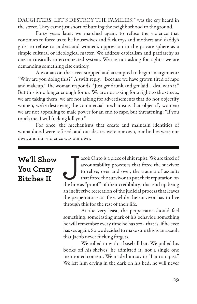DAUGHTERS: LET'S DESTROY THE FAMILIES!" was the cry heard in the street. They came just short of burning the neighborhood to the ground.

Forty years later, we marched again, to refuse the violence that continues to force us to be housewives and fuck-toys and mothers and daddy's girls, to refuse to understand women's oppression in the private sphere as a simple cultural or ideological matter. We address capitalism and patriarchy as one intrinsically interconnected system. We are not asking for rights: we are demanding something else entirely.

A woman on the street stopped and attempted to begin an argument: "Why are you doing this?" A swift reply: "Because we have grown tired of rape and makeup." The woman responds: "Just get drunk and get laid – deal with it." But this is no longer enough for us. We are not asking for a right to the streets, we are taking them; we are not asking for advertisements that do not objectify women, we're destroying the commercial mechanisms that objectify women; we are not appealing to male power for an end to rape, but threatening: "If you touch me, I will fucking kill you."

For once, the mechanisms that create and maintain identities of womanhood were refused, and our desires were our own, our bodies were our own, and our violence was our own.

#### **We'll Show You Crazy Bitches II**

acob Onto is a piece of shit rapist. We are tired of<br>accountability processes that force the survivor<br>to relive, over and over, the trauma of assault;<br>that force the survivor to put their reputation on<br>the line as "proof" acob Onto is a piece of shit rapist. We are tired of accountability processes that force the survivor to relive, over and over, the trauma of assault; that force the survivor to put their reputation on an ineffective recreation of the judicial process that leaves the perpetrator scot free, while the survivor has to live through this for the rest of their life.

At the very least, the perpetrator should feel something, some lasting mark of his behavior, something he will remember every time he has sex - that is, if he ever has sex again. So we decided to make sure this is an assault that Jacob never fucking forgets.

We rolled in with a baseball bat. We pulled his books off his shelves: he admitted it, not a single one mentioned consent. We made him say it: "I am a rapist." We left him crying in the dark on his bed: he will never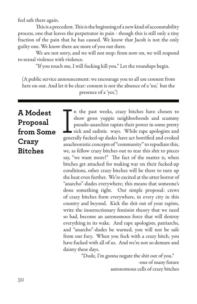feel safe there again.

This is a precedent. This is the beginning of a new kind of accountability process, one that leaves the perpetrator in pain - though this is still only a tiny fraction of the pain that he has caused. We know that Jacob is not the only guilty one. We know there are more of you out there.

We are not sorry, and we will not stop: from now on, we will respond to sexual violence with violence.

"If you touch me, I will fucking kill you." Let the roundups begin.

(A public service announcement: we encourage you to all use consent from here on out. And let it be clear: consent is not the absence of a 'no,' but the presence of a 'yes.')

**A Modest Proposal from Some Crazy Bitches**

In the past weeks, crazy bitches have chosen to show gross yuppie neighborhoods and scummy pseudo-anarchist rapists their power in some pretty sick and sadistic ways. While rape apologists and generally fucked-up dudes hav n the past weeks, crazy bitches have chosen to show gross yuppie neighborhoods and scummy pseudo-anarchist rapists their power in some pretty sick and sadistic ways. While rape apologists and anachronistic concepts of "community" to repudiate this, we, as fellow crazy bitches out to tear this shit to pieces say, "we want more!" The fact of the matter is, when bitches get attacked for making war on their fucked-up conditions, other crazy bitches will be there to turn up the heat even further. We're excited at the utter horror of "anarcho"-dudes everywhere; this means that someone's done something right. Our simple proposal: crews of crazy bitches form everywhere, in every city in this country and beyond. Kick the shit out of your rapists, write the insurrectionary feminist theory that we need so bad, become an autonomous force that will destroy everything in its wake. And rape apologists, patriarchs, and "anarcho"-dudes be warned, you will not be safe from our fury. When you fuck with a crazy bitch, you have fucked with all of us. And we're not so demure and dainty these days.

"Dude, I'm gonna negate the shit out of you." -one of many future autonomous cells of crazy bitches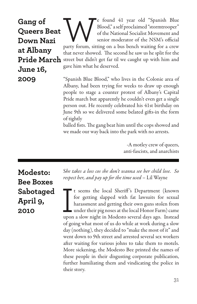**Gang of Queers Beat Down Nazi at Albany June 16, 2009**

Elood," a self proclaimed "Spanish Blue" (Blood," a self proclaimed "stormtrooper" of the National Socialist Movement and senior moderator of the NSM's official party forum, sitting on a bus bench waiting for a crew Blood," a self proclaimed "stormtrooper" of the National Socialist Movement and senior moderator of the NSM's official party forum, sitting on a bus bench waiting for a crew that never showed. The second he saw us he split for the street but didn't get far til we caught up with him and **Pride March**  gave him what he deserved.

> "Spanish Blue Blood," who lives in the Colonie area of Albany, had been trying for weeks to draw up enough people to stage a counter protest of Albany's Capital Pride march but apparently he couldn't even get a single person out. He recently celebrated his 41st birthday on June 9th so we delivered some belated gifts-in the form of tightly

> balled fists. The gang beat him until the cops showed and we made our way back into the park with no arrests.

> > -A motley crew of queers, anti-fascists, and anarchists

**Modesto: Bee Boxes Sabotaged April 9, 2010**

S*he takes a loss cos she don't wanna see her child lose. So respect her, and pay up for the time used* – Lil Wayne

t seems the local Sheriff's Department (known<br>for getting slapped with fat lawsuits for sexual<br>harassment and getting their own guns stolen from<br>under their pig noses at the local Honor Farm) came<br>upon a slow night in Mode t seems the local Sheriff 's Department (known for getting slapped with fat lawsuits for sexual harassment and getting their own guns stolen from under their pig noses at the local Honor Farm) came of going what most of us do while at work during a slow day (nothing), they decided to "make the most of it" and went down to 9th street and arrested several sex workers after waiting for various johns to take them to motels. More sickening, the Modesto Bee printed the names of these people in their disgusting corporate publication, further humiliating them and vindicating the police in their story.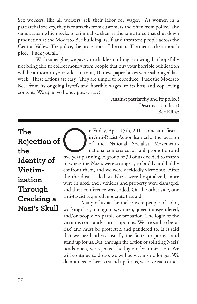Sex workers, like all workers, sell their labor for wages. As women in a patriarchal society, they face attacks from customers and often from police. The same system which seeks to criminalize them is the same force that shut down production at the Modesto Bee building itself, and threatens people across the Central Valley. The police, the protectors of the rich. The media, their mouth piece. Fuck you all.

With super glue, we gave you a likkle sumthing, knowing that hopefully not being able to collect money from people that buy your horrible publication will be a thorn in your side. In total, 10 newspaper boxes were sabotaged last week. These actions are easy. They are simple to reproduce. Fuck the Modesto Bee, from its ongoing layoffs and horrible wages, to its boss and cop loving content. We up in yo honey pot, what?!

> Against patriarchy and its police! Destroy capitalism! Bee Killaz

**The Rejection of the Identity of Victimization Through Cracking a Nazi's Skull**

n Friday, April 15th, 2011 some anti-fascist<br>in Anti-Racist Action learned of the location<br>of the National Socialist Movement's<br>national conference for rank promotion and<br>five-year planning. A group of 30 of us decided to in Anti-Racist Action learned of the location of the National Socialist Movement's national conference for rank promotion and five-year planning. A group of 30 of us decided to march to where the Nazi's were strongest, to bodily and boldly confront them, and we were decidedly victorious. After the the dust settled six Nazis were hospitalized, more were injured, their vehicles and property were damaged, and their conference was ended. On the other side, one anti-fascist required moderate first aid.

Many of us at the melee were people of color, working class, immigrants, women, queer, transgendered, and/or people on parole or probation. The logic of the victim is constantly thrust upon us. We are said to be 'at risk' and must be protected and pandered to. It is said that we need others, usually the State, to protect and stand up for us. But, through the action of splitting Nazis' heads open, we rejected the logic of victimization. We will continue to do so, we will be victims no longer. We do not need others to stand up for us, we have each other.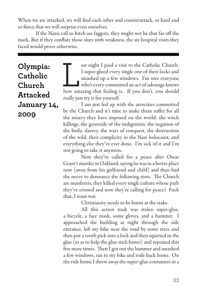When we are attacked, we will find each other and counterattack, so hard and so fierce that we will surprise even ourselves.

If the Nazis call us bitch ass faggots, they might not be that far off the mark. But if they conflate those slurs with weakness, the six hospital visits they faced would prove otherwise.

**Olympia: Catholic Church Attacked January 14, 2009**

ast night I paid a visit to the Catholic Church.<br>
I super-glued every single one of their locks and<br>
smashed up a few windows. I'm sure everyone<br>
who's every committed an act of sabotage knows<br>
how amazing that feeling is. I super-glued every single one of their locks and smashed up a few windows. I'm sure everyone who's every committed an act of sabotage knows really just try it for yourself.

I am just fed up with the atrocities committed by the Church and it's time to make them suffer for all the misery they have imposed on the world: the witch killings, the genocide of the indigenous, the negation of the body, slavery, the wars of conquest, the destruction of the wild, their complicity in the Nazi holocaust, and everything else they've ever done. I'm sick of it and I'm not going to take it anymore.

Now they've called for a peace after Oscar Grant's murder in Oakland, saying he was in a better place now (away from his girlfriend and child) and then had the nerve to denounce the following riots. The Church are murderers, they killed every single culture whose path they've crossed and now they're calling for peace? Fuck that, I want war.

Christianity needs to be burnt at the stake.

All this action took was stolen super-glue, a bicycle, a face mask, some gloves, and a hammer. I approached the building at night through the side entrance, left my bike near the road by some trees and then put a tooth pick into a lock and then squirted in the glue (so as to help the glue stick better) and repeated this five more times. Then I got out the hammer and smashed a few windows, ran to my bike and rode back home. On the ride home I threw away the super-glue containers in a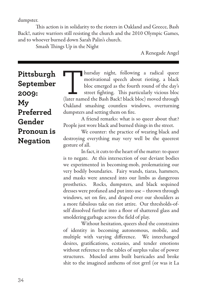dumpster.

This action is in solidarity to the rioters in Oakland and Greece, Bash Back!, native warriors still resisting the church and the 2010 Olympic Games, and to whoever burned down Sarah Palin's church.

Smash Things Up in the Night

A Renegade Angel

**Pittsburgh September 2009: My Preferred Gender Pronoun is Negation**

I hursday night, following a radical queer<br>motivational speech about rioting, a black<br>bloc emerged as the fourth round of the day's<br>street fighting. This particularly vicious bloc<br>(later named the Bash Back! black bloc) mo motivational speech about rioting, a black bloc emerged as the fourth round of the day's street fighting. This particularly vicious bloc (later named the Bash Back! black bloc) moved through Oakland smashing countless windows, overturning dumpsters and setting them on fire.

A friend remarks: what is so queer about that? People just wore black and burned things in the street.

We counter: the practice of wearing black and destroying everything may very well be the queerest gesture of all.

In fact, it cuts to the heart of the matter: to queer is to negate. At this intersection of our deviant bodies we experimented in becoming-mob, prolematizing our very bodily boundaries. Fairy wands, tiaras, hammers, and masks were annexed into our limbs as dangerous prosthetics. Rocks, dumpsters, and black sequined dresses were profaned and put into use – thrown through windows, set on fire, and draped over our shoulders as a more fabulous take on riot attire. Our thresholds-ofself dissolved further into a floor of shattered glass and smoldering garbage across the field of play.

Without hesitation, queers shed the constraints of identity in becoming autonomous, mobile, and multiple with varying difference. We interchanged desires, gratifications, ecstasies, and tender emotions without reference to the tables of surplus value of power structures. Muscled arms built barricades and broke shit to the imagined anthems of riot grrrl (or was it La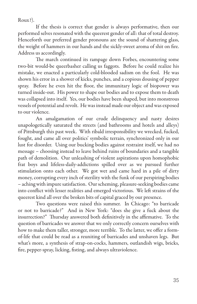Roux?).

If the thesis is correct that gender is always performative, then our performed selves resonated with the queerest gender of all: that of total destroy. Henceforth our preferred gender pronouns are the sound of shattering glass, the weight of hammers in our hands and the sickly-sweet aroma of shit on fire. Address us accordingly.

The march continued its rampage down Forbes, encountering some two-bit would-be queerbasher calling us faggots. Before he could realize his mistake, we enacted a particularly cold-blooded sadism on the fool. He was shown his error in a shower of kicks, punches, and a copious dousing of pepper spray. Before he even hit the floor, the immunitary logic of biopower was turned inside-out. His power to shape our bodies and to expose them to death was collapsed into itself. Yes, our bodies have been shaped, but into monstrous vessels of potential and revolt. He was instead made our object and was exposed to our violence.

An amalgamation of our crude delinquency and nasty desires unapologetically saturated the streets (and bathrooms and hotels and alleys) of Pittsburgh this past week. With ribald irresponsibility we wrecked, fucked, fought, and came all over politics' symbolic terrain, synchronized only in our lust for disorder. Using our bucking bodies against restraint itself, we had no message – choosing instead to leave behind ruins of boundaries and a tangible path of demolition. Our unleashing of violent aspirations upon homophobic frat boys and lifeless-daily-addictions spilled over as we pursued further stimulation onto each other. We got wet and came hard in a pile of dirty money, corrupting every inch of sterility with the funk of our perspiring bodies – aching with impure satisfaction. Our scheming, pleasure-seeking bodies came into conflict with lesser realities and emerged victorious. We left strains of the queerest kind all over the broken bits of capital graced by our presence.

Two questions were raised this summer. In Chicago: "to barricade or not to barricade?" And in New York: "does she give a fuck about the insurrection?" Thursday answered both definitively in the affirmative. To the question of barricades we answer that we only correctly concern ourselves with how to make them taller, stronger, more terrible. To the latter, we offer a formof-life that could be read as a reuniting of barricades and unshaven legs. But what's more, a synthesis of strap-on-cocks, hammers, outlandish wigs, bricks, fire, pepper-spray, licking, fisting, and always ultraviolence.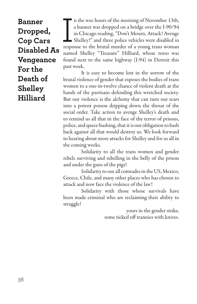**Banner Dropped, Cop Cars Disabled As Vengeance For the Death of Shelley Hilliard**

In the wee hours of the morning of November 13th,<br>a banner was dropped on a bridge over the I-90/94<br>in Chicago reading, "Don't Mourn, Attack! Avenge<br>Shelley!" and three police vehicles were disabled in<br>response to the brut n the wee hours of the morning of November 13th, a banner was dropped on a bridge over the I-90/94 in Chicago reading, "Don't Mourn, Attack! Avenge Shelley!" and three police vehicles were disabled in named Shelley "Treasure" Hilliard, whose torso was found next to the same highway (I-94) in Detroit this past week.

It is easy to become lost in the sorrow of the brutal violence of gender that exposes the bodies of trans women to a one-in-twelve chance of violent death at the hands of the partisans defending this wretched society. But our violence is the alchemy that can turn our tears into a potent poison dripping down the throat of the social order. Take action to avenge Shelley's death and to remind us all that in the face of the terror of prisons, police, and queer-bashing, that it is our obligation to bash back against all that would destroy us. We look forward to hearing about more attacks for Shelley and for us all in the coming weeks.

Solidarity to all the trans women and gender rebels surviving and rebelling in the belly of the prison and under the guns of the pigs!

Solidarity to our all comrades in the US, Mexico, Greece, Chile, and many other places who has chosen to attack and now face the violence of the law!

Solidarity with those whose survivals have been made criminal who are reclaiming their ability to struggle!

> yours in the gender strike, some ticked off trannies with knives.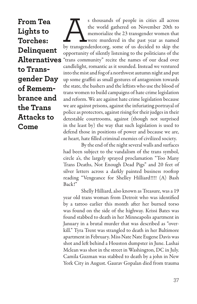**From Tea Lights to Torches: Delinquent Alternatives to Transgender Day of Remembrance and the Trans Attacks to Come**

s thousands of people in cities all across<br>the world gathered on November 20th to<br>memorialize the 23 transgender women that<br>by transgenderdor.org, some of us decided to skip the<br>example of us decided to skip the the world gathered on November 20th to memorialize the 23 transgender women that were murdered in the past year as named opportunity of silently listening to the politicians of the "trans community" recite the names of our dead over candlelight, romantic as it sounded. Instead we ventured into the mist and fog of a northwest autumn night and put up some graffiti as small gestures of antagonism towards the state, the bashers and the leftists who use the blood of trans women to build campaigns of hate crime legislation and reform. We are against hate crime legislation because we are against prisons, against the infuriating portrayal of police as protectors, against rising for their judges in their detestable courtrooms, against (though not surprised in the least by) the way that such legislation is used to defend those in positions of power and because we are, at heart, hate filled criminal enemies of civilized society.

By the end of the night several walls and surfaces had been subject to the vandalism of the trans symbol, circle a's, the largely sprayed proclamation "Too Many Trans Deaths, Not Enough Dead Pigs" and 20 feet of silver letters across a darkly painted business rooftop reading "Vengeance for Shelley Hilliard!!!! (A) Bash Back!"

Shelly Hilliard, also known as Treasure, was a 19 year old trans woman from Detroit who was identified by a tattoo earlier this month after her burned torso was found on the side of the highway. Krissi Bates was found stabbed to death in her Minneapolis apartment in January in a brutal murder that was described as "overkill." Tyra Trent was strangled to death in her Baltimore apartment in February. Miss Nate Nate Eugene Davis was shot and left behind a Houston dumpster in June. Lashai Mclean was shot in the street in Washington, DC in July. Camila Guzman was stabbed to death by a john in New York City in August. Gaurav Gopalan died from trauma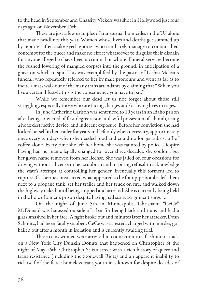to the head in September and Chassity Vickers was shot in Hollywood just four days ago, on November 16th.

These are just a few examples of transsexual homicides in the US alone that made headlines this year. Women whose lives and deaths get summed up by reporter after snake-eyed reporter who can barely manage to contain their contempt for the queer and make no effort whatsoever to disguise their disdain for anyone alleged to have been a criminal or whore. Funeral services become the rushed lowering of mangled corpses into the ground, in anticipation of a grave on which to spit. This was exemplified by the pastor of Lashai Mclean's funeral, who repeatedly referred to her by male pronouns and went as far as to incite a mass walk out of the many trans attendants by claiming that "When you live a certain lifestyle this is the consequence you have to pay."

While we remember our dead let us not forgot about those still struggling, especially those who are facing charges and/or living lives in cages.

In June Catherine Carlson was sentenced to 10 years in an Idaho prison after being convicted of first degree arson, unlawful possession of a bomb, using a hoax destructive device, and indecent exposure. Before her conviction she had locked herself in her trailer for years and left only when necessary, approximately once every ten days when she needed food and could no longer subsist off of coffee alone. Every time she left her home she was taunted by police. Despite having had her name legally changed for over three decades, she couldn't get her given name removed from her license. She was jailed on four occasions for driving without a license in her stubborn and inspiring refusal to acknowledge the state's attempt at controlling her gender. Eventually this torment led to rupture. Catherine constructed what appeared to be four pipe bombs, left them next to a propane tank, set her trailer and her truck on fire, and walked down the highway naked until being stopped and arrested. She is currently being held in the hole of a men's prison despite having had sex reassignment surgery.

On the night of June 5th in Minneapolis, Chrishaun "CeCe" McDonald was harassed outside of a bar for being black and trans and had a glass smashed in her face. A fight broke out and minutes later her attacker, Dean Schmitz, had been fatally stabbed. CeCe was arrested, charged with murder, got bailed out after a month in isolation and is currently awaiting trial.

Three trans women were arrested in connection to a flash mob attack on a New York City Dunkin Donuts that happened on Christopher St the night of May 16th. Christopher St is a street with a rich history of queer and trans resistance (including the Stonewall Riots) and an apparent inability to rid itself of the fierce homeless trans youth it is known for despite decades of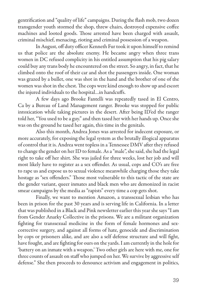gentrification and "quality of life" campaigns. During the flash mob, two dozen transgender youth stormed the shop, threw chairs, destroyed expensive coffee machines and looted goods. Those arrested have been charged with assault, criminal mischief, menacing, rioting and criminal possession of a weapon.

In August, off duty officer Kenneth Fur took it upon himself to remind us that police are the absolute enemy. He became angry when three trans women in DC refused complicity in his entitled assumption that his pig salary could buy any trans body he encountered on the street. So angry, in fact, that he climbed onto the roof of their car and shot the passengers inside. One woman was grazed by a bullet, one was shot in the hand and the brother of one of the women was shot in the chest. The cops were kind enough to show up and escort the injured individuals to the hospital…in handcuffs.

A few days ago Brooke Fantelli was repeatedly tased in El Centro, Ca by a Bureau of Land Management ranger. Brooke was stopped for public intoxication while taking pictures in the desert. After being ID'ed the ranger told her, "You used to be a guy." and then tased her with her hands up. Once she was on the ground he tased her again, this time in the genitals.

Also this month, Andrea Jones was arrested for indecent exposure, or more accurately, for exposing the legal system as the brutally illogical apparatus of control that it is. Andrea went topless in a Tennessee DMV after they refused to change the gender on her ID to female. As a "male", she said, she had the legal right to take off her shirt. She was jailed for three weeks, lost her job and will most likely have to register as a sex offender. As usual, cops and CO's are free to rape us and expose us to sexual violence meanwhile charging those they take hostage as "sex offenders." Those most vulnerable to this tactic of the state are the gender variant, queer inmates and black men who are demonized in racist smear campaigns by the media as "rapists" every time a cop gets shot.

Finally, we want to mention Amazon, a transsexual lesbian who has been in prison for the past 30 years and is serving life in California. In a letter that was published in a Black and Pink newsletter earlier this year she says "I am from Gender Anarky Collective in the prisons. We are a militant organization fighting for transsexual medicine in the form of female hormones and sexcorrective surgery, and against all forms of hate, genocide and discrimination by cops or prisoners alike, and are also a self defense structure and will fight, have fought, and are fighting for ours on the yards. I am currently in the hole for 'battery on an inmate with a weapon.' Two other girls are here with me, one for three counts of assault on staff who jumped on her. We survive by aggressive self defense." She then proceeds to denounce activism and engagement in politics,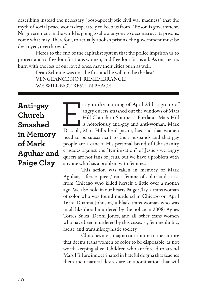describing instead the necessary "post-apocalyptic civil war madness" that the myth of social peace works desperately to keep us from. "Prison is government. No government in the world is going to allow anyone to deconstruct its prisons, come what may. Therefore, to actually abolish prisons, the government must be destroyed, overthrown."

Here's to the end of the capitalist system that the police imprison us to protect and to freedom for trans women, and freedom for us all. As our hearts burn with the loss of our loved ones, may their cities burn as well.

> Dean Schmitz was not the first and he will not be the last! VENGEANCE NOT REMEMBRANCE! WE WILL NOT REST IN PEACE!

**Anti-gay Church Smashed in Memory of Mark Aguhar and Paige Clay** 

arly in the morning of April 24th a group of<br>angry queers smashed out the windows of Mars<br>Hill Church in Southeast Portland. Mars Hill<br>is notoriously anti-gay and anti-woman. Mark<br>Driscoll, Mars Hill's head pastor, has sai angry queers smashed out the windows of Mars Hill Church in Southeast Portland. Mars Hill is notoriously anti-gay and anti-woman. Mark Driscoll, Mars Hill's head pastor, has said that women need to be subservient to their husbands and that gay people are a cancer. His personal brand of Christianity crusades against the "feminization" of Jesus - we angry queers are not fans of Jesus, but we have a problem with anyone who has a problem with femmes.

This action was taken in memory of Mark Aguhar, a fierce queer/trans femme of color and artist from Chicago who killed herself a little over a month ago. We also hold in our hearts Paige Clay, a trans woman of color who was found murdered in Chicago on April 16th; Duanna Johnson, a black trans woman who was in all likelihood murdered by the police in 2008; Agnes Torres Sulca, Deoni Jones, and all other trans women who have been murdered by this cissexist, femmephobic, racist, and transmisogynistic society.

Churches are a major contributor to the culture that deems trans women of color to be disposable, as not worth keeping alive. Children who are forced to attend Mars Hill are indoctrinated in hateful dogma that teaches them their natural desires are an abomination that will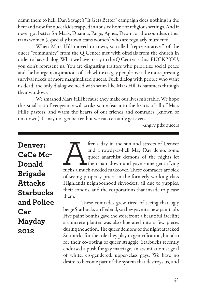damn them to hell. Dan Savage's "It Gets Better" campaign does nothing in the here and now for queer kids trapped in abusive home or religious settings. And it never got better for Mark, Duanna, Paige, Agnes, Deoni, or the countless other trans women (especially brown trans women) who are regularly murdered.

When Mars Hill moved to town, so-called "representatives" of the queer "community" from the Q Center met with officials from the church in order to have dialog. What we have to say to the Q Center is this: FUCK YOU, you don't represent us. You are disgusting traitors who prioritize social peace and the bourgeois aspirations of rich white cis gay people over the more pressing survival needs of more marginalized queers. Fuck dialog with people who want us dead, the only dialog we need with scum like Mars Hill is hammers through their windows.

We smashed Mars Hill because they make our lives miserable. We hope this small act of vengeance will strike some fear into the hearts of all of Mars Hill's pastors, and warm the hearts of our friends and comrades (known or unknown). It may not get better, but we can certainly get even.

-angry pdx queers

**Denver: CeCe Mc-Donald Brigade Attacks Starbucks and Police Car Mayday 2012**

fter a day in the sun and streets of Denver<br>and a rowdy-as-hell May Day demo, some<br>queer anarchist demons of the nights let<br>their hair down and gave some gentrifying<br>fucks a much-needed makeover. These comrades are sick and a rowdy-as-hell May Day demo, some queer anarchist demons of the nights let **L** their hair down and gave some gentrifying fucks a much-needed makeover. These comrades are sick of seeing property prices in the formerly working-class Highlands neighborhood skyrocket, all due to yuppies, their condos, and the corporations that invade to please them.

These comrades grew tired of seeing that ugly beige Starbucks on Federal, so they gave it a new paint job. Five paint bombs gave the storefront a beautiful facelift; a concrete planter was also liberated into a few pieces during the action. The queer demons of the night attacked Starbucks for the role they play in gentrification, but also for their co-opting of queer struggle. Starbucks recently endorsed a push for gay marriage, an assimilationist goal of white, cis-gendered, upper-class gays. We have no desire to become part of the system that destroys us, and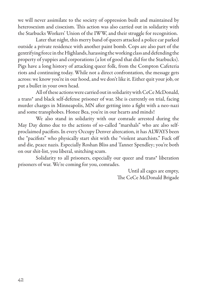we will never assimilate to the society of oppression built and maintained by heterosexism and cissexism. This action was also carried out in solidarity with the Starbucks Workers' Union of the IWW, and their struggle for recognition.

Later that night, this merry band of queers attacked a police car parked outside a private residence with another paint bomb. Cops are also part of the gentrifying force in the Highlands, harassing the working class and defending the property of yuppies and corporations (a lot of good that did for the Starbucks). Pigs have a long history of attacking queer folk, from the Compton Cafeteria riots and continuing today. While not a direct confrontation, the message gets across: we know you're in our hood, and we don't like it. Either quit your job, or put a bullet in your own head.

All of these actions were carried out in solidarity with CeCe McDonald, a trans\* and black self-defense prisoner of war. She is currently on trial, facing murder charges in Minneapolis, MN after getting into a fight with a neo-nazi and some transphobes. Honee Bea, you're in our hearts and minds!

We also stand in solidarity with our comrade arrested during the May Day demo due to the actions of so-called "marshals" who are also selfproclaimed pacifists. In every Occupy Denver altercation, it has ALWAYS been the "pacifists" who physically start shit with the "violent anarchists." Fuck off and die, peace nazis. Especially Roshan Bliss and Tanner Spendley; you're both on our shit-list, you liberal, snitching scum.

Solidarity to all prisoners, especially our queer and trans\* liberation prisoners of war. We're coming for you, comrades.

> Until all cages are empty, The CeCe McDonald Brigade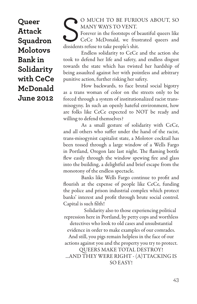**Queer Attack Squadron Molotovs Bank in Solidarity with CeCe McDonald June 2012**

#### O MUCH TO BE FURIOUS ABOUT, SO MANY WAYS TO VENT.

O MUCH TO BE FURIC<br>MANY WAYS TO VENT.<br>Forever in the footsteps of b<br>CeCe McDonald, we fruse<br>dissidents refuse to take people's shit. Forever in the footsteps of beautiful queers like CeCe McDonald, we frustrated queers and

Endless solidarity to CeCe and the action she took to defend her life and safety, and endless disgust towards the state which has twisted her hardship of being assaulted against her with pointless and arbitrary punitive action, further risking her safety.

How backwards, to face brutal social bigotry as a trans woman of color on the streets only to be forced through a system of institutionalized racist transmisogyny. In such an openly hateful environment, how are folks like CeCe expected to NOT be ready and willing to defend themselves?

As a small gesture of solidarity with CeCe, and all others who suffer under the hand of the racist, trans-misogynist capitalist state, a Molotov cocktail has been tossed through a large window of a Wells Fargo in Portland, Oregon late last night. The flaming bottle flew easily through the window spewing fire and glass into the building, a delightful and brief escape from the monotony of the endless spectacle.

Banks like Wells Fargo continue to profit and flourish at the expense of people like CeCe, funding the police and prison industrial complex which protect banks' interest and profit through brute social control. Capital is such filth!

Solidarity also to those experiencing political repression here in Portland, by petty cops and worthless

detectives who look to old cases and unsubstantial evidence in order to make examples of our comrades.

And still, you pigs remain helpless in the face of our actions against you and the property you try to protect. QUEERS MAKE TOTAL DESTROY!

...AND THEY WERE RIGHT - (A)TTACKING IS SO EASY!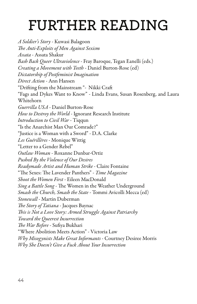# **FURTHER READING**

*A Soldier's Story* - Kuwasi Balagoon *The Anti-Exploits of Men Against Sexism Assata* - Assata Shakur *Bash Back Queer Ultraviolence* - Fray Baroque, Tegan Eanelli (eds.) *Creating a Movement with Teeth -* Daniel Burton-Rose (ed) *Dictatorship of Postfeminist Imagination Direct Action* - Ann Hansen "Drifting from the Mainstream "- Nikki Craft "Fags and Dykes Want to Know" - Linda Evans, Susan Rosenberg, and Laura Whitehorn *Guerrilla USA* - Daniel Burton-Rose *How to Destroy the World* - Ignorant Research Institute *Introduction to Civil War* - Tiqqun "Is the Anarchist Man Our Comrade?" "Justice is a Woman with a Sword" - D.A. Clarke *Les Guérillères* - Monique Wittig "Letter to a Gender Rebel" *Outlaw Woman* - Roxanne Dunbar-Ortiz *Pushed By the Violence of Our Desires Readymade Artist and Human Strike* - Claire Fontaine "The Sexes: The Lavender Panthers" - *Time Magazine Shoot the Women First* - Eileen MacDonald *Sing a Battle Song* - The Women in the Weather Underground *Smash the Church, Smash the State -* Tommi Avicolli Mecca (ed) *Stonewall* - Martin Duberman *The Story of Tatiana* - Jacques Baynac *This is Not a Love Story: Armed Struggle Against Patriarchy Toward the Queerest Insurrection The War Before* - Sufiya Bukhari "Where Abolition Meets Action" - Victoria Law *Why Misogynists Make Great Informants* - Courtney Desiree Morris *Why She Doesn't Give a Fuck About Your Insurrection*